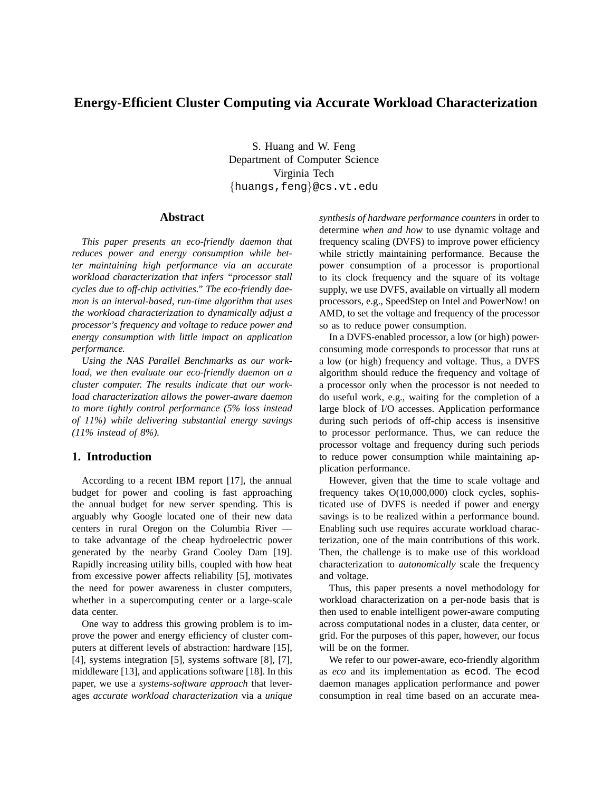# **Energy-Efficient Cluster Computing via Accurate Workload Characterization**

S. Huang and W. Feng Department of Computer Science Virginia Tech {huangs,feng}@cs.vt.edu

### **Abstract**

*This paper presents an eco-friendly daemon that reduces power and energy consumption while better maintaining high performance via an accurate workload characterization that infers "processor stall cycles due to off-chip activities." The eco-friendly daemon is an interval-based, run-time algorithm that uses the workload characterization to dynamically adjust a processor's frequency and voltage to reduce power and energy consumption with little impact on application performance.*

*Using the NAS Parallel Benchmarks as our workload, we then evaluate our eco-friendly daemon on a cluster computer. The results indicate that our workload characterization allows the power-aware daemon to more tightly control performance (5% loss instead of 11%) while delivering substantial energy savings (11% instead of 8%).*

# **1. Introduction**

According to a recent IBM report [17], the annual budget for power and cooling is fast approaching the annual budget for new server spending. This is arguably why Google located one of their new data centers in rural Oregon on the Columbia River to take advantage of the cheap hydroelectric power generated by the nearby Grand Cooley Dam [19]. Rapidly increasing utility bills, coupled with how heat from excessive power affects reliability [5], motivates the need for power awareness in cluster computers, whether in a supercomputing center or a large-scale data center.

One way to address this growing problem is to improve the power and energy efficiency of cluster computers at different levels of abstraction: hardware [15], [4], systems integration [5], systems software [8], [7], middleware [13], and applications software [18]. In this paper, we use a *systems-software approach* that leverages *accurate workload characterization* via a *unique*

*synthesis of hardware performance counters* in order to determine *when and how* to use dynamic voltage and frequency scaling (DVFS) to improve power efficiency while strictly maintaining performance. Because the power consumption of a processor is proportional to its clock frequency and the square of its voltage supply, we use DVFS, available on virtually all modern processors, e.g., SpeedStep on Intel and PowerNow! on AMD, to set the voltage and frequency of the processor so as to reduce power consumption.

In a DVFS-enabled processor, a low (or high) powerconsuming mode corresponds to processor that runs at a low (or high) frequency and voltage. Thus, a DVFS algorithm should reduce the frequency and voltage of a processor only when the processor is not needed to do useful work, e.g., waiting for the completion of a large block of I/O accesses. Application performance during such periods of off-chip access is insensitive to processor performance. Thus, we can reduce the processor voltage and frequency during such periods to reduce power consumption while maintaining application performance.

However, given that the time to scale voltage and frequency takes O(10,000,000) clock cycles, sophisticated use of DVFS is needed if power and energy savings is to be realized within a performance bound. Enabling such use requires accurate workload characterization, one of the main contributions of this work. Then, the challenge is to make use of this workload characterization to *autonomically* scale the frequency and voltage.

Thus, this paper presents a novel methodology for workload characterization on a per-node basis that is then used to enable intelligent power-aware computing across computational nodes in a cluster, data center, or grid. For the purposes of this paper, however, our focus will be on the former.

We refer to our power-aware, eco-friendly algorithm as *eco* and its implementation as ecod. The ecod daemon manages application performance and power consumption in real time based on an accurate mea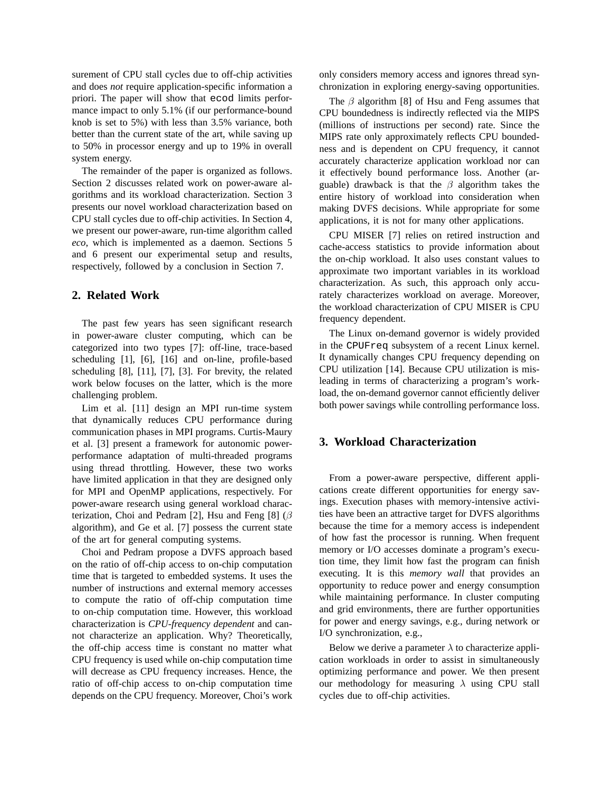surement of CPU stall cycles due to off-chip activities and does *not* require application-specific information a priori. The paper will show that ecod limits performance impact to only 5.1% (if our performance-bound knob is set to 5%) with less than 3.5% variance, both better than the current state of the art, while saving up to 50% in processor energy and up to 19% in overall system energy.

The remainder of the paper is organized as follows. Section 2 discusses related work on power-aware algorithms and its workload characterization. Section 3 presents our novel workload characterization based on CPU stall cycles due to off-chip activities. In Section 4, we present our power-aware, run-time algorithm called *eco*, which is implemented as a daemon. Sections 5 and 6 present our experimental setup and results, respectively, followed by a conclusion in Section 7.

# **2. Related Work**

The past few years has seen significant research in power-aware cluster computing, which can be categorized into two types [7]: off-line, trace-based scheduling [1], [6], [16] and on-line, profile-based scheduling [8], [11], [7], [3]. For brevity, the related work below focuses on the latter, which is the more challenging problem.

Lim et al. [11] design an MPI run-time system that dynamically reduces CPU performance during communication phases in MPI programs. Curtis-Maury et al. [3] present a framework for autonomic powerperformance adaptation of multi-threaded programs using thread throttling. However, these two works have limited application in that they are designed only for MPI and OpenMP applications, respectively. For power-aware research using general workload characterization, Choi and Pedram [2], Hsu and Feng [8] ( $\beta$ algorithm), and Ge et al. [7] possess the current state of the art for general computing systems.

Choi and Pedram propose a DVFS approach based on the ratio of off-chip access to on-chip computation time that is targeted to embedded systems. It uses the number of instructions and external memory accesses to compute the ratio of off-chip computation time to on-chip computation time. However, this workload characterization is *CPU-frequency dependent* and cannot characterize an application. Why? Theoretically, the off-chip access time is constant no matter what CPU frequency is used while on-chip computation time will decrease as CPU frequency increases. Hence, the ratio of off-chip access to on-chip computation time depends on the CPU frequency. Moreover, Choi's work

only considers memory access and ignores thread synchronization in exploring energy-saving opportunities.

The  $\beta$  algorithm [8] of Hsu and Feng assumes that CPU boundedness is indirectly reflected via the MIPS (millions of instructions per second) rate. Since the MIPS rate only approximately reflects CPU boundedness and is dependent on CPU frequency, it cannot accurately characterize application workload nor can it effectively bound performance loss. Another (arguable) drawback is that the  $\beta$  algorithm takes the entire history of workload into consideration when making DVFS decisions. While appropriate for some applications, it is not for many other applications.

CPU MISER [7] relies on retired instruction and cache-access statistics to provide information about the on-chip workload. It also uses constant values to approximate two important variables in its workload characterization. As such, this approach only accurately characterizes workload on average. Moreover, the workload characterization of CPU MISER is CPU frequency dependent.

The Linux on-demand governor is widely provided in the CPUFreq subsystem of a recent Linux kernel. It dynamically changes CPU frequency depending on CPU utilization [14]. Because CPU utilization is misleading in terms of characterizing a program's workload, the on-demand governor cannot efficiently deliver both power savings while controlling performance loss.

### **3. Workload Characterization**

From a power-aware perspective, different applications create different opportunities for energy savings. Execution phases with memory-intensive activities have been an attractive target for DVFS algorithms because the time for a memory access is independent of how fast the processor is running. When frequent memory or I/O accesses dominate a program's execution time, they limit how fast the program can finish executing. It is this *memory wall* that provides an opportunity to reduce power and energy consumption while maintaining performance. In cluster computing and grid environments, there are further opportunities for power and energy savings, e.g., during network or I/O synchronization, e.g.,

Below we derive a parameter  $\lambda$  to characterize application workloads in order to assist in simultaneously optimizing performance and power. We then present our methodology for measuring  $\lambda$  using CPU stall cycles due to off-chip activities.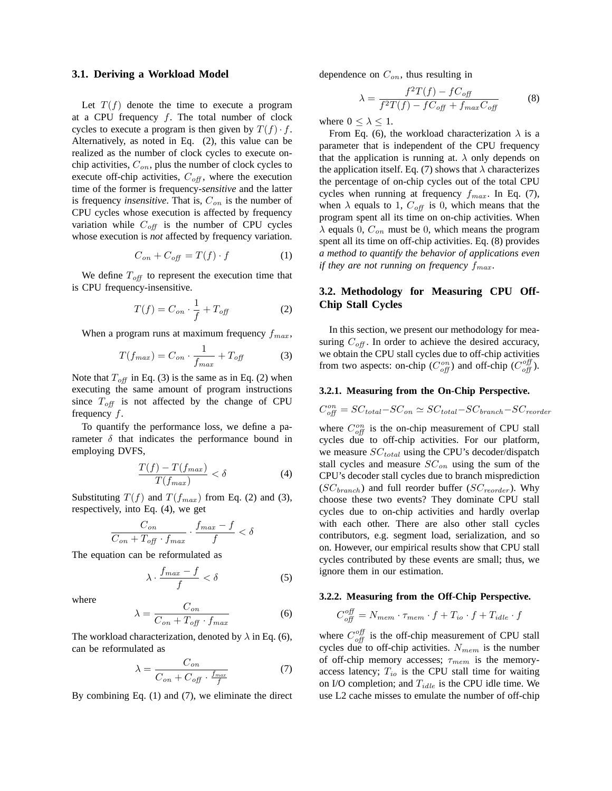#### **3.1. Deriving a Workload Model**

Let  $T(f)$  denote the time to execute a program at a CPU frequency  $f$ . The total number of clock cycles to execute a program is then given by  $T(f) \cdot f$ . Alternatively, as noted in Eq. (2), this value can be realized as the number of clock cycles to execute onchip activities,  $C_{on}$ , plus the number of clock cycles to execute off-chip activities,  $C_{\text{off}}$ , where the execution time of the former is frequency-*sensitive* and the latter is frequency *insensitive*. That is,  $C_{on}$  is the number of CPU cycles whose execution is affected by frequency variation while  $C_{off}$  is the number of CPU cycles whose execution is *not* affected by frequency variation.

$$
C_{on} + C_{off} = T(f) \cdot f \tag{1}
$$

We define  $T_{off}$  to represent the execution time that is CPU frequency-insensitive.

$$
T(f) = C_{on} \cdot \frac{1}{f} + T_{off} \tag{2}
$$

When a program runs at maximum frequency  $f_{max}$ ,

$$
T(f_{max}) = C_{on} \cdot \frac{1}{f_{max}} + T_{off} \tag{3}
$$

Note that  $T_{off}$  in Eq. (3) is the same as in Eq. (2) when executing the same amount of program instructions since  $T_{off}$  is not affected by the change of CPU frequency f.

To quantify the performance loss, we define a parameter  $\delta$  that indicates the performance bound in employing DVFS,

$$
\frac{T(f) - T(f_{max})}{T(f_{max})} < \delta \tag{4}
$$

Substituting  $T(f)$  and  $T(f_{max})$  from Eq. (2) and (3), respectively, into Eq. (4), we get

$$
\frac{C_{on}}{C_{on} + T_{off} \cdot f_{max}} \cdot \frac{f_{max} - f}{f} < \delta
$$

The equation can be reformulated as

$$
\lambda \cdot \frac{f_{max} - f}{f} < \delta \tag{5}
$$

where

$$
\lambda = \frac{C_{on}}{C_{on} + T_{off} \cdot f_{max}} \tag{6}
$$

The workload characterization, denoted by  $\lambda$  in Eq. (6), can be reformulated as

$$
\lambda = \frac{C_{on}}{C_{on} + C_{off} \cdot \frac{f_{max}}{f}}
$$
(7)

By combining Eq. (1) and (7), we eliminate the direct

dependence on  $C_{on}$ , thus resulting in

$$
\lambda = \frac{f^2 T(f) - f C_{off}}{f^2 T(f) - f C_{off} + f_{max} C_{off}} \tag{8}
$$

where  $0 \leq \lambda \leq 1$ .

From Eq. (6), the workload characterization  $\lambda$  is a parameter that is independent of the CPU frequency that the application is running at.  $\lambda$  only depends on the application itself. Eq. (7) shows that  $\lambda$  characterizes the percentage of on-chip cycles out of the total CPU cycles when running at frequency  $f_{max}$ . In Eq. (7), when  $\lambda$  equals to 1,  $C_{off}$  is 0, which means that the program spent all its time on on-chip activities. When  $\lambda$  equals 0,  $C_{on}$  must be 0, which means the program spent all its time on off-chip activities. Eq. (8) provides *a method to quantify the behavior of applications even if they are not running on frequency*  $f_{max}$ *.* 

## **3.2. Methodology for Measuring CPU Off-Chip Stall Cycles**

In this section, we present our methodology for measuring  $C_{\text{off}}$ . In order to achieve the desired accuracy, we obtain the CPU stall cycles due to off-chip activities from two aspects: on-chip  $(C_{off}^{on})$  and off-chip  $(C_{off}^{off})$ .

#### **3.2.1. Measuring from the On-Chip Perspective.**

$$
C_{off}^{on} = SC_{total} - SC_{on} \simeq SC_{total} - SC_{branch} - SC_{reorder}
$$

where  $C_{off}^{on}$  is the on-chip measurement of CPU stall cycles due to off-chip activities. For our platform, we measure  $SC_{total}$  using the CPU's decoder/dispatch stall cycles and measure  $SC_{on}$  using the sum of the CPU's decoder stall cycles due to branch misprediction  $(SC_{branch})$  and full reorder buffer  $(SC_{reorder})$ . Why choose these two events? They dominate CPU stall cycles due to on-chip activities and hardly overlap with each other. There are also other stall cycles contributors, e.g. segment load, serialization, and so on. However, our empirical results show that CPU stall cycles contributed by these events are small; thus, we ignore them in our estimation.

#### **3.2.2. Measuring from the Off-Chip Perspective.**

$$
C_{off}^{off} = N_{mem} \cdot \tau_{mem} \cdot f + T_{io} \cdot f + T_{idle} \cdot f
$$

where  $C_{off}^{off}$  is the off-chip measurement of CPU stall cycles due to off-chip activities.  $N_{mem}$  is the number of off-chip memory accesses;  $\tau_{mem}$  is the memoryaccess latency;  $T_{io}$  is the CPU stall time for waiting on I/O completion; and  $T_{idle}$  is the CPU idle time. We use L2 cache misses to emulate the number of off-chip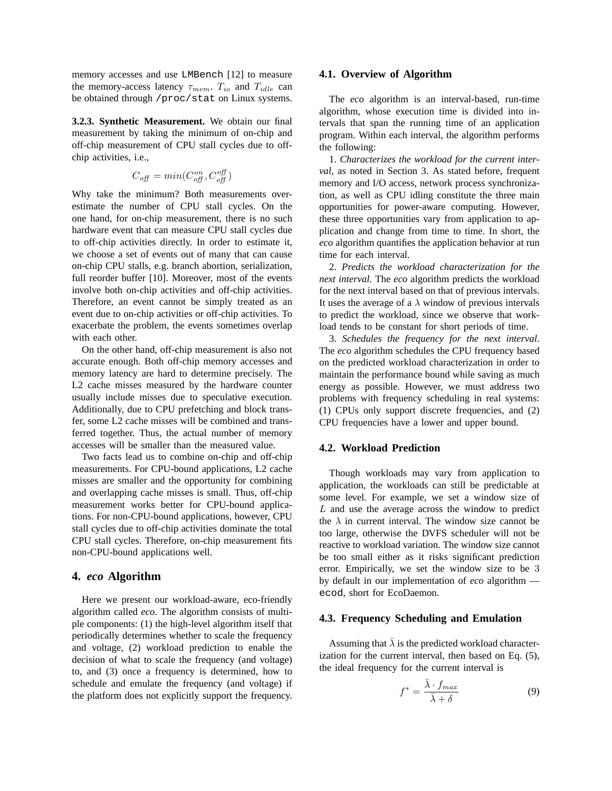memory accesses and use LMBench [12] to measure the memory-access latency  $\tau_{mem}$ .  $T_{io}$  and  $T_{idle}$  can be obtained through /proc/stat on Linux systems.

**3.2.3. Synthetic Measurement.** We obtain our final measurement by taking the minimum of on-chip and off-chip measurement of CPU stall cycles due to offchip activities, i.e.,

$$
C_{\text{off}} = \min(C_{\text{off}}^{\text{on}}, C_{\text{off}}^{\text{off}})
$$

Why take the minimum? Both measurements overestimate the number of CPU stall cycles. On the one hand, for on-chip measurement, there is no such hardware event that can measure CPU stall cycles due to off-chip activities directly. In order to estimate it, we choose a set of events out of many that can cause on-chip CPU stalls, e.g. branch abortion, serialization, full reorder buffer [10]. Moreover, most of the events involve both on-chip activities and off-chip activities. Therefore, an event cannot be simply treated as an event due to on-chip activities or off-chip activities. To exacerbate the problem, the events sometimes overlap with each other.

On the other hand, off-chip measurement is also not accurate enough. Both off-chip memory accesses and memory latency are hard to determine precisely. The L2 cache misses measured by the hardware counter usually include misses due to speculative execution. Additionally, due to CPU prefetching and block transfer, some L2 cache misses will be combined and transferred together. Thus, the actual number of memory accesses will be smaller than the measured value.

Two facts lead us to combine on-chip and off-chip measurements. For CPU-bound applications, L2 cache misses are smaller and the opportunity for combining and overlapping cache misses is small. Thus, off-chip measurement works better for CPU-bound applications. For non-CPU-bound applications, however, CPU stall cycles due to off-chip activities dominate the total CPU stall cycles. Therefore, on-chip measurement fits non-CPU-bound applications well.

### **4.** *eco* **Algorithm**

Here we present our workload-aware, eco-friendly algorithm called *eco*. The algorithm consists of multiple components: (1) the high-level algorithm itself that periodically determines whether to scale the frequency and voltage, (2) workload prediction to enable the decision of what to scale the frequency (and voltage) to, and (3) once a frequency is determined, how to schedule and emulate the frequency (and voltage) if the platform does not explicitly support the frequency.

#### **4.1. Overview of Algorithm**

The *eco* algorithm is an interval-based, run-time algorithm, whose execution time is divided into intervals that span the running time of an application program. Within each interval, the algorithm performs the following:

1. *Characterizes the workload for the current interval*, as noted in Section 3. As stated before, frequent memory and I/O access, network process synchronization, as well as CPU idling constitute the three main opportunities for power-aware computing. However, these three opportunities vary from application to application and change from time to time. In short, the *eco* algorithm quantifies the application behavior at run time for each interval.

2. *Predicts the workload characterization for the next interval.* The *eco* algorithm predicts the workload for the next interval based on that of previous intervals. It uses the average of a  $\lambda$  window of previous intervals to predict the workload, since we observe that workload tends to be constant for short periods of time.

3. *Schedules the frequency for the next interval.* The *eco* algorithm schedules the CPU frequency based on the predicted workload characterization in order to maintain the performance bound while saving as much energy as possible. However, we must address two problems with frequency scheduling in real systems: (1) CPUs only support discrete frequencies, and (2) CPU frequencies have a lower and upper bound.

### **4.2. Workload Prediction**

Though workloads may vary from application to application, the workloads can still be predictable at some level. For example, we set a window size of L and use the average across the window to predict the  $\lambda$  in current interval. The window size cannot be too large, otherwise the DVFS scheduler will not be reactive to workload variation. The window size cannot be too small either as it risks significant prediction error. Empirically, we set the window size to be 3 by default in our implementation of *eco* algorithm ecod, short for EcoDaemon.

### **4.3. Frequency Scheduling and Emulation**

Assuming that  $\bar{\lambda}$  is the predicted workload characterization for the current interval, then based on Eq. (5), the ideal frequency for the current interval is

$$
f^* = \frac{\bar{\lambda} \cdot f_{max}}{\bar{\lambda} + \delta} \tag{9}
$$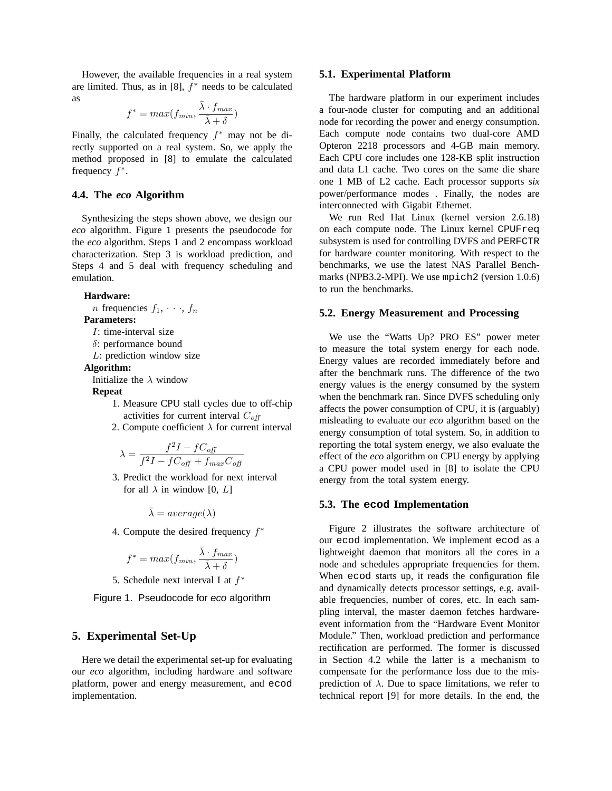However, the available frequencies in a real system are limited. Thus, as in [8],  $f^*$  needs to be calculated as

$$
f^* = max(f_{min}, \frac{\bar{\lambda} \cdot f_{max}}{\bar{\lambda} + \delta})
$$

Finally, the calculated frequency  $f^*$  may not be directly supported on a real system. So, we apply the method proposed in [8] to emulate the calculated frequency  $f^*$ .

#### **4.4. The** *eco* **Algorithm**

Synthesizing the steps shown above, we design our *eco* algorithm. Figure 1 presents the pseudocode for the *eco* algorithm. Steps 1 and 2 encompass workload characterization. Step 3 is workload prediction, and Steps 4 and 5 deal with frequency scheduling and emulation.

#### **Hardware:**

*n* frequencies  $f_1, \dots, f_n$ 

### **Parameters:**

- I: time-interval size
- δ: performance bound
- L: prediction window size

# **Algorithm:**

Initialize the  $\lambda$  window

**Repeat**

- 1. Measure CPU stall cycles due to off-chip activities for current interval  $C_{off}$
- 2. Compute coefficient  $\lambda$  for current interval

$$
\lambda = \frac{f^2 I - f C_{off}}{f^2 I - f C_{off} + f_{max} C_{off}}
$$

3. Predict the workload for next interval for all  $\lambda$  in window [0,  $L$ ]

$$
\bar{\lambda} = average(\lambda)
$$

4. Compute the desired frequency  $f^*$ 

$$
f^* = max(f_{min}, \frac{\bar{\lambda} \cdot f_{max}}{\bar{\lambda} + \delta})
$$

5. Schedule next interval I at  $f^*$ 

Figure 1. Pseudocode for eco algorithm

### **5. Experimental Set-Up**

Here we detail the experimental set-up for evaluating our *eco* algorithm, including hardware and software platform, power and energy measurement, and ecod implementation.

#### **5.1. Experimental Platform**

The hardware platform in our experiment includes a four-node cluster for computing and an additional node for recording the power and energy consumption. Each compute node contains two dual-core AMD Opteron 2218 processors and 4-GB main memory. Each CPU core includes one 128-KB split instruction and data L1 cache. Two cores on the same die share one 1 MB of L2 cache. Each processor supports *six* power/performance modes . Finally, the nodes are interconnected with Gigabit Ethernet.

We run Red Hat Linux (kernel version 2.6.18) on each compute node. The Linux kernel CPUFreq subsystem is used for controlling DVFS and PERFCTR for hardware counter monitoring. With respect to the benchmarks, we use the latest NAS Parallel Benchmarks (NPB3.2-MPI). We use mpich2 (version 1.0.6) to run the benchmarks.

### **5.2. Energy Measurement and Processing**

We use the "Watts Up? PRO ES" power meter to measure the total system energy for each node. Energy values are recorded immediately before and after the benchmark runs. The difference of the two energy values is the energy consumed by the system when the benchmark ran. Since DVFS scheduling only affects the power consumption of CPU, it is (arguably) misleading to evaluate our *eco* algorithm based on the energy consumption of total system. So, in addition to reporting the total system energy, we also evaluate the effect of the *eco* algorithm on CPU energy by applying a CPU power model used in [8] to isolate the CPU energy from the total system energy.

#### **5.3. The ecod Implementation**

Figure 2 illustrates the software architecture of our ecod implementation. We implement ecod as a lightweight daemon that monitors all the cores in a node and schedules appropriate frequencies for them. When ecod starts up, it reads the configuration file and dynamically detects processor settings, e.g. available frequencies, number of cores, etc. In each sampling interval, the master daemon fetches hardwareevent information from the "Hardware Event Monitor Module." Then, workload prediction and performance rectification are performed. The former is discussed in Section 4.2 while the latter is a mechanism to compensate for the performance loss due to the misprediction of  $\lambda$ . Due to space limitations, we refer to technical report [9] for more details. In the end, the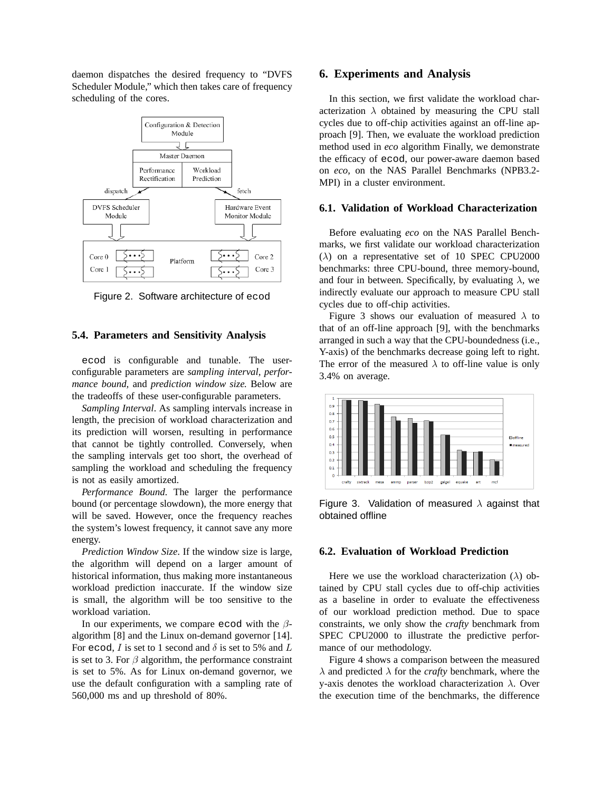daemon dispatches the desired frequency to "DVFS Scheduler Module," which then takes care of frequency scheduling of the cores.



Figure 2. Software architecture of ecod

### **5.4. Parameters and Sensitivity Analysis**

ecod is configurable and tunable. The userconfigurable parameters are *sampling interval, performance bound,* and *prediction window size.* Below are the tradeoffs of these user-configurable parameters.

*Sampling Interval*. As sampling intervals increase in length, the precision of workload characterization and its prediction will worsen, resulting in performance that cannot be tightly controlled. Conversely, when the sampling intervals get too short, the overhead of sampling the workload and scheduling the frequency is not as easily amortized.

*Performance Bound*. The larger the performance bound (or percentage slowdown), the more energy that will be saved. However, once the frequency reaches the system's lowest frequency, it cannot save any more energy.

*Prediction Window Size*. If the window size is large, the algorithm will depend on a larger amount of historical information, thus making more instantaneous workload prediction inaccurate. If the window size is small, the algorithm will be too sensitive to the workload variation.

In our experiments, we compare ecod with the  $\beta$ algorithm [8] and the Linux on-demand governor [14]. For ecod, I is set to 1 second and  $\delta$  is set to 5% and L is set to 3. For  $\beta$  algorithm, the performance constraint is set to 5%. As for Linux on-demand governor, we use the default configuration with a sampling rate of 560,000 ms and up threshold of 80%.

### **6. Experiments and Analysis**

In this section, we first validate the workload characterization  $\lambda$  obtained by measuring the CPU stall cycles due to off-chip activities against an off-line approach [9]. Then, we evaluate the workload prediction method used in *eco* algorithm Finally, we demonstrate the efficacy of ecod, our power-aware daemon based on *eco*, on the NAS Parallel Benchmarks (NPB3.2- MPI) in a cluster environment.

### **6.1. Validation of Workload Characterization**

Before evaluating *eco* on the NAS Parallel Benchmarks, we first validate our workload characterization  $(\lambda)$  on a representative set of 10 SPEC CPU2000 benchmarks: three CPU-bound, three memory-bound, and four in between. Specifically, by evaluating  $\lambda$ , we indirectly evaluate our approach to measure CPU stall cycles due to off-chip activities.

Figure 3 shows our evaluation of measured  $\lambda$  to that of an off-line approach [9], with the benchmarks arranged in such a way that the CPU-boundedness (i.e., Y-axis) of the benchmarks decrease going left to right. The error of the measured  $\lambda$  to off-line value is only 3.4% on average.



Figure 3. Validation of measured  $\lambda$  against that obtained offline

### **6.2. Evaluation of Workload Prediction**

Here we use the workload characterization ( $\lambda$ ) obtained by CPU stall cycles due to off-chip activities as a baseline in order to evaluate the effectiveness of our workload prediction method. Due to space constraints, we only show the *crafty* benchmark from SPEC CPU2000 to illustrate the predictive performance of our methodology.

Figure 4 shows a comparison between the measured  $\lambda$  and predicted  $\lambda$  for the *crafty* benchmark, where the y-axis denotes the workload characterization  $λ$ . Over the execution time of the benchmarks, the difference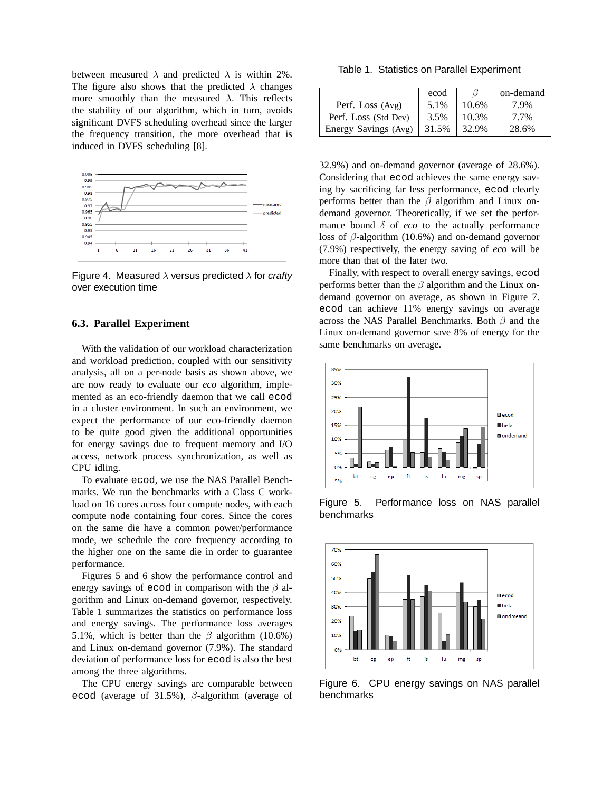between measured  $\lambda$  and predicted  $\lambda$  is within 2%. The figure also shows that the predicted  $\lambda$  changes more smoothly than the measured  $\lambda$ . This reflects the stability of our algorithm, which in turn, avoids significant DVFS scheduling overhead since the larger the frequency transition, the more overhead that is induced in DVFS scheduling [8].



Figure 4. Measured  $\lambda$  versus predicted  $\lambda$  for crafty over execution time

### **6.3. Parallel Experiment**

With the validation of our workload characterization and workload prediction, coupled with our sensitivity analysis, all on a per-node basis as shown above, we are now ready to evaluate our *eco* algorithm, implemented as an eco-friendly daemon that we call ecod in a cluster environment. In such an environment, we expect the performance of our eco-friendly daemon to be quite good given the additional opportunities for energy savings due to frequent memory and I/O access, network process synchronization, as well as CPU idling.

To evaluate ecod, we use the NAS Parallel Benchmarks. We run the benchmarks with a Class C workload on 16 cores across four compute nodes, with each compute node containing four cores. Since the cores on the same die have a common power/performance mode, we schedule the core frequency according to the higher one on the same die in order to guarantee performance.

Figures 5 and 6 show the performance control and energy savings of ecod in comparison with the  $\beta$  algorithm and Linux on-demand governor, respectively. Table 1 summarizes the statistics on performance loss and energy savings. The performance loss averages 5.1%, which is better than the  $\beta$  algorithm (10.6%) and Linux on-demand governor (7.9%). The standard deviation of performance loss for ecod is also the best among the three algorithms.

The CPU energy savings are comparable between ecod (average of 31.5%),  $\beta$ -algorithm (average of

Table 1. Statistics on Parallel Experiment

|                      | ecod  |       | on-demand |
|----------------------|-------|-------|-----------|
| Perf. Loss (Avg)     | 5.1%  | 10.6% | 7.9%      |
| Perf. Loss (Std Dev) | 3.5%  | 10.3% | 7.7%      |
| Energy Savings (Avg) | 31.5% | 32.9% | 28.6%     |

32.9%) and on-demand governor (average of 28.6%). Considering that ecod achieves the same energy saving by sacrificing far less performance, ecod clearly performs better than the  $\beta$  algorithm and Linux ondemand governor. Theoretically, if we set the performance bound  $\delta$  of *eco* to the actually performance loss of  $\beta$ -algorithm (10.6%) and on-demand governor (7.9%) respectively, the energy saving of *eco* will be more than that of the later two.

Finally, with respect to overall energy savings, ecod performs better than the  $\beta$  algorithm and the Linux ondemand governor on average, as shown in Figure 7. ecod can achieve 11% energy savings on average across the NAS Parallel Benchmarks. Both  $\beta$  and the Linux on-demand governor save 8% of energy for the same benchmarks on average.



Figure 5. Performance loss on NAS parallel benchmarks



Figure 6. CPU energy savings on NAS parallel benchmarks